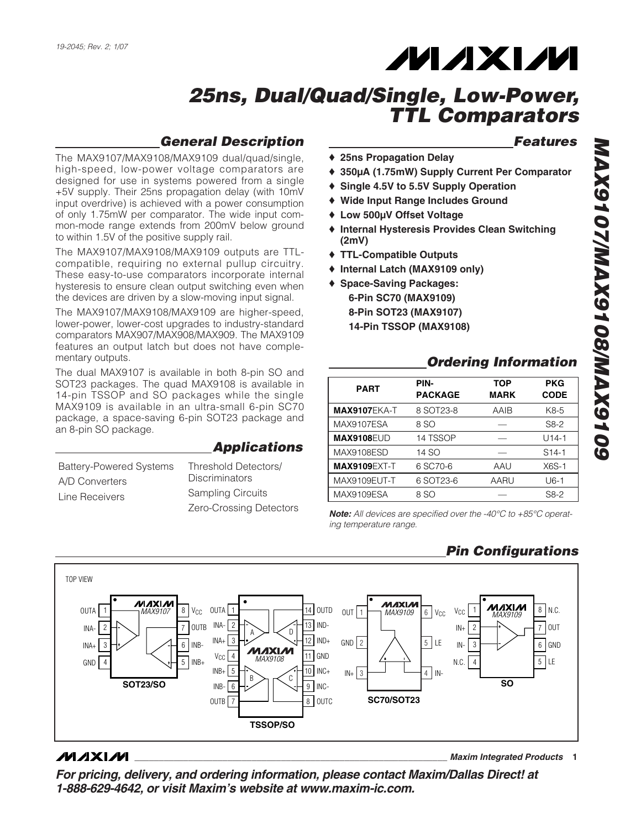

### *General Description*

The MAX9107/MAX9108/MAX9109 dual/quad/single, high-speed, low-power voltage comparators are designed for use in systems powered from a single +5V supply. Their 25ns propagation delay (with 10mV input overdrive) is achieved with a power consumption of only 1.75mW per comparator. The wide input common-mode range extends from 200mV below ground to within 1.5V of the positive supply rail.

The MAX9107/MAX9108/MAX9109 outputs are TTLcompatible, requiring no external pullup circuitry. These easy-to-use comparators incorporate internal hysteresis to ensure clean output switching even when the devices are driven by a slow-moving input signal.

The MAX9107/MAX9108/MAX9109 are higher-speed, lower-power, lower-cost upgrades to industry-standard comparators MAX907/MAX908/MAX909. The MAX9109 features an output latch but does not have complementary outputs.

The dual MAX9107 is available in both 8-pin SO and SOT23 packages. The quad MAX9108 is available in 14-pin TSSOP and SO packages while the single MAX9109 is available in an ultra-small 6-pin SC70 package, a space-saving 6-pin SOT23 package and an 8-pin SO package.

#### *Applications*

| <b>Battery-Powered Systems</b><br>A/D Converters | Threshold Detectors/<br><b>Discriminators</b> |  |  |  |
|--------------------------------------------------|-----------------------------------------------|--|--|--|
| Line Receivers                                   | <b>Sampling Circuits</b>                      |  |  |  |
|                                                  | Zero-Crossing Detectors                       |  |  |  |

#### *Features*

- ♦ **25ns Propagation Delay**
- ♦ **350µA (1.75mW) Supply Current Per Comparator**
- ♦ **Single 4.5V to 5.5V Supply Operation**
- ♦ **Wide Input Range Includes Ground**
- ♦ **Low 500µV Offset Voltage**
- ♦ **Internal Hysteresis Provides Clean Switching (2mV)**
- ♦ **TTL-Compatible Outputs**
- ♦ **Internal Latch (MAX9109 only)**
- ♦ **Space-Saving Packages: 6-Pin SC70 (MAX9109) 8-Pin SOT23 (MAX9107) 14-Pin TSSOP (MAX9108)**

#### *Ordering Information*

| <b>PART</b>         | PIN-<br><b>PACKAGE</b> | <b>TOP</b><br><b>MARK</b> | <b>PKG</b><br><b>CODE</b> |
|---------------------|------------------------|---------------------------|---------------------------|
| <b>MAX9107EKA-T</b> | 8 SOT23-8              | AAIB                      | K8-5                      |
| MAX9107ESA          | 8 SO                   |                           | S8-2                      |
| <b>MAX9108EUD</b>   | 14 TSSOP               |                           | $U14-1$                   |
| MAX9108ESD          | 14 SO                  |                           | $S14-1$                   |
| <b>MAX9109EXT-T</b> | 6 SC70-6               | AAU                       | $X6S-1$                   |
| MAX9109EUT-T        | 6 SOT23-6              | AARU                      | $U6-1$                    |
| MAX9109ESA          | 8 SO                   |                           | S8-2                      |

*Note: All devices are specified over the -40°C to +85°C operating temperature range.*

#### *Pin Configurations*



#### $MAXIM$

*\_\_\_\_\_\_\_\_\_\_\_\_\_\_\_\_\_\_\_\_\_\_\_\_\_\_\_\_\_\_\_\_\_\_\_\_\_\_\_\_\_\_\_\_\_\_\_\_\_\_\_\_\_\_\_\_\_\_\_\_\_\_\_\_ Maxim Integrated Products* **1**

*For pricing, delivery, and ordering information, please contact Maxim/Dallas Direct! at 1-888-629-4642, or visit Maxim's website at www.maxim-ic.com.*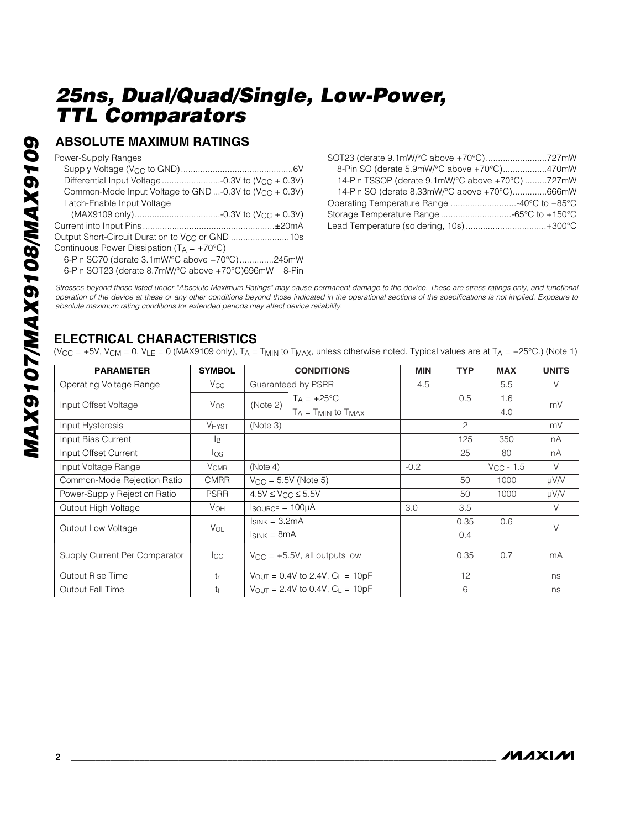#### **ABSOLUTE MAXIMUM RATINGS**

Power-Supply Ranges

| ι υννοι-υμμμιν ι ιαιιγοσ                                    |
|-------------------------------------------------------------|
|                                                             |
|                                                             |
| Common-Mode Input Voltage to GND -0.3V to $(V_{CC} + 0.3V)$ |
| Latch-Enable Input Voltage                                  |
|                                                             |
|                                                             |
| Output Short-Circuit Duration to V <sub>CC</sub> or GND 10s |
| Continuous Power Dissipation $(T_A = +70^{\circ}C)$         |
| 6-Pin SC70 (derate 3.1mW/°C above +70°C)245mW               |
| 6-Pin SOT23 (derate 8.7mW/°C above +70°C)696mW 8-Pin        |
|                                                             |

| 8-Pin SO (derate 5.9mW/°C above +70°C)470mW      |  |
|--------------------------------------------------|--|
| 14-Pin TSSOP (derate 9.1mW/°C above +70°C) 727mW |  |
| 14-Pin SO (derate 8.33mW/°C above +70°C)666mW    |  |
|                                                  |  |
|                                                  |  |
|                                                  |  |

*Stresses beyond those listed under "Absolute Maximum Ratings" may cause permanent damage to the device. These are stress ratings only, and functional operation of the device at these or any other conditions beyond those indicated in the operational sections of the specifications is not implied. Exposure to absolute maximum rating conditions for extended periods may affect device reliability.*

### **ELECTRICAL CHARACTERISTICS**

(V $_{\rm CC}$  = +5V, V $_{\rm CM}$  = 0, V $_{\rm LE}$  = 0 (MAX9109 only), T $_{\rm A}$  = T $_{\rm MIN}$  to T $_{\rm MAX}$ , unless otherwise noted. Typical values are at T $_{\rm A}$  = +25°C.) (Note 1)

| <b>PARAMETER</b>              | <b>SYMBOL</b>  | <b>CONDITIONS</b>                             |                              | <b>MIN</b> | <b>TYP</b> | <b>MAX</b>     | <b>UNITS</b> |  |  |
|-------------------------------|----------------|-----------------------------------------------|------------------------------|------------|------------|----------------|--------------|--|--|
| Operating Voltage Range       | $V_{\rm CC}$   | Guaranteed by PSRR                            |                              | 4.5        |            | 5.5            | V            |  |  |
| Input Offset Voltage          | $V_{OS}$       | (Note 2)                                      | $T_A = +25$ °C               |            | 0.5        | 1.6            | mV           |  |  |
|                               |                |                                               | $T_A = T_{MIN}$ to $T_{MAX}$ |            |            | 4.0            |              |  |  |
| Input Hysteresis              | <b>VHYST</b>   | (Note 3)                                      |                              |            | 2          |                | mV           |  |  |
| Input Bias Current            | l <sub>B</sub> | 125                                           |                              | 350        | nA         |                |              |  |  |
| Input Offset Current          | los            |                                               |                              |            | 25         | 80             | nA           |  |  |
| Input Voltage Range           | <b>V</b> CMR   | (Note 4)                                      |                              | $-0.2$     |            | $V_{CC}$ - 1.5 | $\vee$       |  |  |
| Common-Mode Rejection Ratio   | <b>CMRR</b>    | $V_{CC} = 5.5V$ (Note 5)                      |                              |            | 50         | 1000           | µV/V         |  |  |
| Power-Supply Rejection Ratio  | <b>PSRR</b>    | $4.5V \leq V_{CC} \leq 5.5V$                  |                              |            | 50         | 1000           | $\mu V/V$    |  |  |
| Output High Voltage           | $V_{OH}$       | $I_{\text{SOURCE}} = 100 \mu A$               |                              | 3.0        | 3.5        |                | V            |  |  |
| Output Low Voltage            | $V_{OL}$       | $I_{SINK} = 3.2mA$                            |                              |            | 0.35       | 0.6            | $\vee$       |  |  |
|                               |                | $I_{SINK} = 8mA$                              |                              |            | 0.4        |                |              |  |  |
| Supply Current Per Comparator | $_{\rm lcc}$   | $V_{\text{CC}} = +5.5V$ , all outputs low     |                              |            | 0.35       | 0.7            | mA           |  |  |
| Output Rise Time              | $t_{r}$        | $V_{\text{OUT}} = 0.4V$ to 2.4V, $C_L = 10pF$ |                              |            | 12         |                | ns           |  |  |
| Output Fall Time              | tŧ             | $V_{\text{OUT}} = 2.4V$ to 0.4V, $C_L = 10pF$ |                              | 6          |            |                |              |  |  |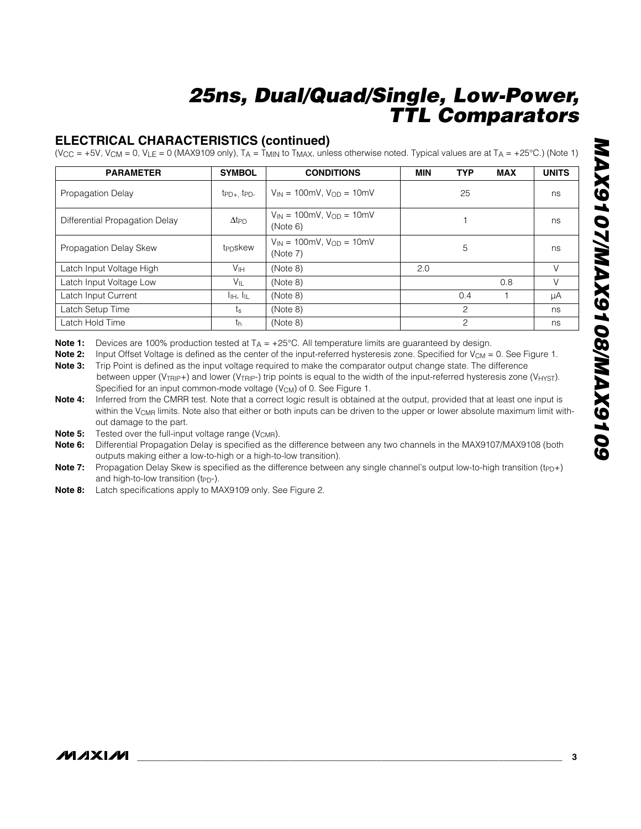#### **ELECTRICAL CHARACTERISTICS (continued)**

(V $_{\rm CC}$  = +5V, V $_{\rm CM}$  = 0, V $_{\rm LE}$  = 0 (MAX9109 only), T $_{\rm A}$  = T $_{\rm MIN}$  to T $_{\rm MAX}$ , unless otherwise noted. Typical values are at T $_{\rm A}$  = +25°C.) (Note 1)

| <b>PARAMETER</b>               | <b>SYMBOL</b>                         | <b>CONDITIONS</b>                               | <b>MIN</b> | <b>TYP</b>     | <b>MAX</b> | <b>UNITS</b> |
|--------------------------------|---------------------------------------|-------------------------------------------------|------------|----------------|------------|--------------|
| <b>Propagation Delay</b>       | $tp_{D+}$ , $tp_{D-}$                 | $V_{IN} = 100$ mV, $V_{OD} = 10$ mV             |            | 25             |            | ns           |
| Differential Propagation Delay | $\Delta t$ PD                         | $V_{IN} = 100$ mV, $V_{OD} = 10$ mV<br>(Note 6) |            |                | ns         |              |
| Propagation Delay Skew         | t <sub>PD</sub> skew                  | $V_{IN} = 100$ mV, $V_{OD} = 10$ mV<br>(Note 7) | 5          |                | ns         |              |
| Latch Input Voltage High       | V <sub>IH</sub>                       | (Note 8)                                        | 2.0        |                | V          |              |
| Latch Input Voltage Low        | $V_{\parallel}$                       | (Note 8)                                        |            |                | 0.8        | V            |
| Latch Input Current            | $I_{\parallel H}$ , $I_{\parallel L}$ | (Note 8)                                        |            | 0.4            |            | μA           |
| Latch Setup Time               | $t_{\rm s}$                           | (Note 8)                                        |            | $\overline{c}$ |            | ns           |
| Latch Hold Time                | th                                    | (Note 8)                                        |            | $\overline{c}$ |            | ns           |

**Note 1:** Devices are 100% production tested at T A = +25°C. All temperature limits are guaranteed by design.

**Note 2:** Input Offset Voltage is defined as the center of the input-referred hysteresis zone. Specified for V<sub>CM</sub> = 0. See Figure 1.

**Note 3:** Trip Point is defined as the input voltage required to make the comparator output change state. The difference between upper (V<sub>TRIP</sub>+) and lower (V<sub>TRIP</sub>-) trip points is equal to the width of the input-referred hysteresis zone (V<sub>HYST</sub>). Specified for an input common-mode voltage  $(V_{CM})$  of 0. See Figure 1.

**Note 4:** Inferred from the CMRR test. Note that a correct logic result is obtained at the output, provided that at least one input is within the V<sub>CMR</sub> limits. Note also that either or both inputs can be driven to the upper or lower absolute maximum limit without damage to the part.

**Note 5:** Tested over the full-input voltage range (V<sub>CMR</sub>).

**Note 6:** Differential Propagation Delay is specified as the difference between any two channels in the MAX9107/MAX9108 (both outputs making either a low-to-high or a high-to-low transition).

Note 7: Propagation Delay Skew is specified as the difference between any single channel's output low-to-high transition (t<sub>PD+</sub>) and high-to-low transition (t<sub>PD</sub>-).

**Note 8:** Latch specifications apply to MAX9109 only. See Figure 2.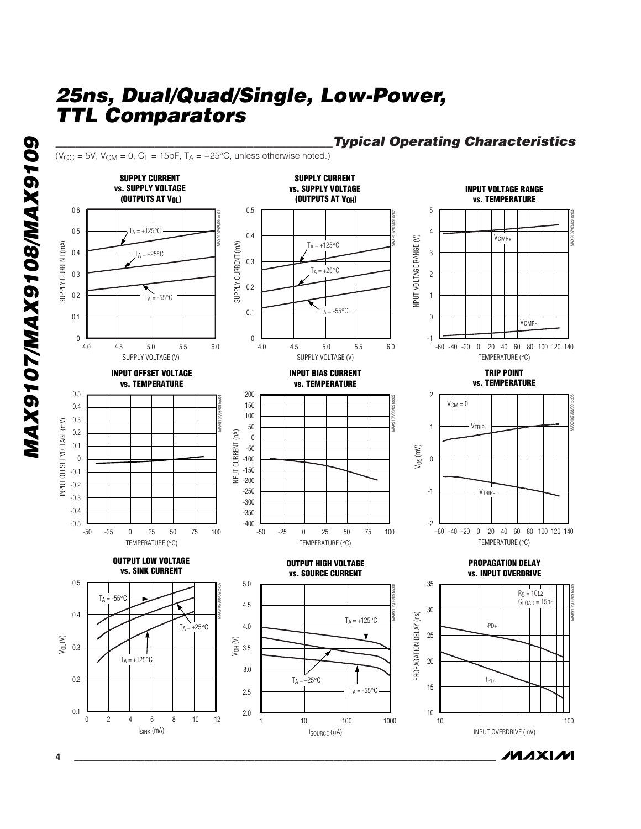(V<sub>CC</sub> = 5V, V<sub>CM</sub> = 0, C<sub>L</sub> = 15pF, T<sub>A</sub> = +25°C, unless otherwise noted.)

**GOLGXVW/SOLGXVWV/LOLGXVW** *MAX9107/MAX9108/MAX9109*



## *\_\_\_\_\_\_\_\_\_\_\_\_\_\_\_\_\_\_\_\_\_\_\_\_\_\_\_\_\_\_\_\_\_\_\_\_\_\_\_\_\_\_Typical Operating Characteristics*

**MAXIM**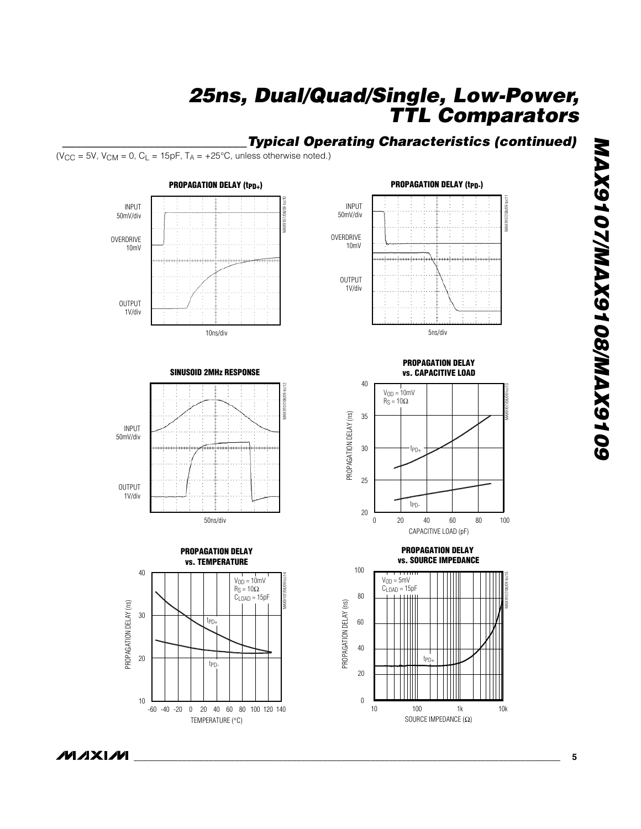### *\_\_\_\_\_\_\_\_\_\_\_\_\_\_\_\_\_\_\_\_\_\_\_\_\_\_\_\_Typical Operating Characteristics (continued)*

(V<sub>CC</sub> = 5V, V<sub>CM</sub> = 0, C<sub>L</sub> = 15pF, T<sub>A</sub> = +25°C, unless otherwise noted.)









**PROPAGATION DELAY vs. CAPACITIVE LOAD**



**vs. SOURCE IMPEDANCE** 100 MAX9107/08/09 toc15  $V_{OD} = 5$ mV  $C_{\text{LOAD}} = 15pF$ 80 60 40 tPD+ TШ 20  $\boldsymbol{0}$ 

**PROPAGATION DELAY** 

10 100 1k 10k

SOURCE IMPEDANCE  $(\Omega)$ 

*\_\_\_\_\_\_\_\_\_\_\_\_\_\_\_\_\_\_\_\_\_\_\_\_\_\_\_\_\_\_\_\_\_\_\_\_\_\_\_\_\_\_\_\_\_\_\_\_\_\_\_\_\_\_\_\_\_\_\_\_\_\_\_\_\_\_\_\_\_\_\_\_\_\_\_\_\_\_\_\_\_\_\_\_\_\_\_\_\_\_\_\_\_\_\_\_\_*

PROPAGATION DELAY (ns)

PROPAGATION DELAY (ns)

**8016XAM/8016XAM/T016XAM** *MAX9107/MAX9108/MAX9109*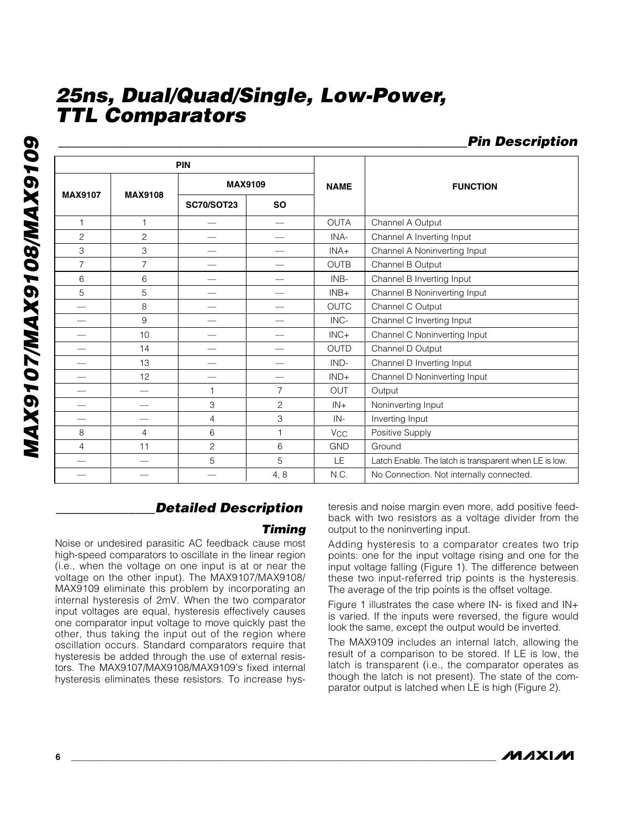*MAX9107/MAX9108/MAX9109* **GOLGXVWV80LGXVWV/LOLGXVW** 

|                           |                | <b>PIN</b>        |                          |                                   |                                                        |  |  |
|---------------------------|----------------|-------------------|--------------------------|-----------------------------------|--------------------------------------------------------|--|--|
|                           |                |                   | <b>MAX9109</b>           | <b>NAME</b>                       | <b>FUNCTION</b>                                        |  |  |
| <b>MAX9107</b>            | <b>MAX9108</b> | <b>SC70/SOT23</b> | <b>SO</b>                |                                   |                                                        |  |  |
| $\mathbf{1}$              | 1              |                   |                          | <b>OUTA</b>                       | Channel A Output                                       |  |  |
| $\overline{c}$            | $\overline{c}$ |                   |                          | Channel A Inverting Input<br>INA- |                                                        |  |  |
| $\ensuremath{\mathsf{3}}$ | 3              |                   |                          | INA+                              | Channel A Noninverting Input                           |  |  |
| $\overline{7}$            | $\overline{7}$ |                   |                          | <b>OUTB</b>                       | Channel B Output                                       |  |  |
| 6                         | 6              |                   | --                       | INB-                              | Channel B Inverting Input                              |  |  |
| 5                         | 5              |                   |                          | $INB+$                            | Channel B Noninverting Input                           |  |  |
|                           | 8              |                   |                          | <b>OUTC</b>                       | Channel C Output                                       |  |  |
|                           | 9              |                   |                          | INC-                              | Channel C Inverting Input                              |  |  |
|                           | 10             |                   |                          | $INC +$                           | Channel C Noninverting Input                           |  |  |
|                           | 14             |                   | $\overline{\phantom{0}}$ | <b>OUTD</b>                       | Channel D Output                                       |  |  |
|                           | 13             |                   | $\overline{\phantom{0}}$ | $IND-$                            | Channel D Inverting Input                              |  |  |
|                           | 12             |                   |                          | $IND+$                            | Channel D Noninverting Input                           |  |  |
|                           |                | 1                 | $\overline{7}$           | <b>OUT</b>                        | Output                                                 |  |  |
|                           |                | $\mathfrak{S}$    | $\overline{c}$           | $IN +$                            | Noninverting Input                                     |  |  |
|                           |                | $\overline{4}$    | 3                        | IN-                               | Inverting Input                                        |  |  |
| 8                         | 4              | 6                 | $\mathbf{1}$             | <b>V<sub>CC</sub></b>             | Positive Supply                                        |  |  |
| 4                         | 11             | $\overline{c}$    | 6                        | <b>GND</b>                        | Ground                                                 |  |  |
|                           |                | 5                 | 5                        | LE                                | Latch Enable. The latch is transparent when LE is low. |  |  |
|                           |                |                   | 4, 8                     | N.C.                              | No Connection. Not internally connected.               |  |  |

## *\_\_\_\_\_\_\_\_\_\_\_\_\_\_\_Detailed Description*

#### *Timing*

Noise or undesired parasitic AC feedback cause most high-speed comparators to oscillate in the linear region (i.e., when the voltage on one input is at or near the voltage on the other input). The MAX9107/MAX9108/ MAX9109 eliminate this problem by incorporating an internal hysteresis of 2mV. When the two comparator input voltages are equal, hysteresis effectively causes one comparator input voltage to move quickly past the other, thus taking the input out of the region where oscillation occurs. Standard comparators require that hysteresis be added through the use of external resistors. The MAX9107/MAX9108/MAX9109's fixed internal hysteresis eliminates these resistors. To increase hysteresis and noise margin even more, add positive feedback with two resistors as a voltage divider from the output to the noninverting input.

Adding hysteresis to a comparator creates two trip points: one for the input voltage rising and one for the input voltage falling (Figure 1). The difference between these two input-referred trip points is the hysteresis. The average of the trip points is the offset voltage.

Figure 1 illustrates the case where IN- is fixed and IN+ is varied. If the inputs were reversed, the figure would look the same, except the output would be inverted.

The MAX9109 includes an internal latch, allowing the result of a comparison to be stored. If LE is low, the latch is transparent (i.e., the comparator operates as though the latch is not present). The state of the comparator output is latched when LE is high (Figure 2).

*\_\_\_\_\_\_\_\_\_\_\_\_\_\_\_\_\_\_\_\_\_\_\_\_\_\_\_\_\_\_\_\_\_\_\_\_\_\_\_\_\_\_\_\_\_\_\_\_\_\_\_\_\_\_\_\_\_\_\_\_\_\_Pin Description*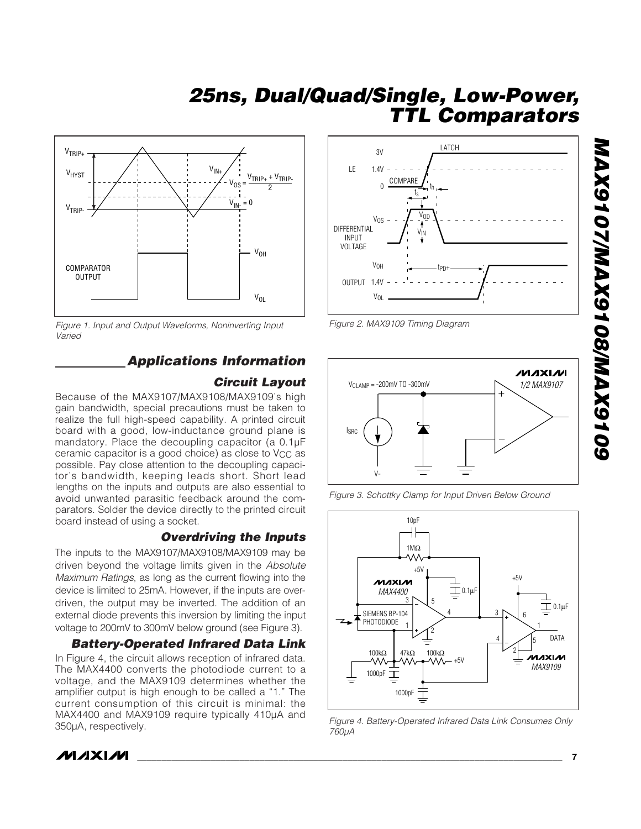

*Figure 1. Input and Output Waveforms, Noninverting Input Varied*

### *Applications Information*

#### *Circuit Layout*

Because of the MAX9107/MAX9108/MAX9109's high gain bandwidth, special precautions must be taken to realize the full high-speed capability. A printed circuit board with a good, low-inductance ground plane is mandatory. Place the decoupling capacitor (a 0.1µF ceramic capacitor is a good choice) as close to V<sub>CC</sub> as possible. Pay close attention to the decoupling capacitor's bandwidth, keeping leads short. Short lead lengths on the inputs and outputs are also essential to avoid unwanted parasitic feedback around the comparators. Solder the device directly to the printed circuit board instead of using a socket.

#### *Overdriving the Inputs*

The inputs to the MAX9107/MAX9108/MAX9109 may be driven beyond the voltage limits given in the *Absolute Maximum Ratings*, as long as the current flowing into the device is limited to 25mA. However, if the inputs are overdriven, the output may be inverted. The addition of an external diode prevents this inversion by limiting the input voltage to 200mV to 300mV below ground (see Figure 3).

#### *Battery-Operated Infrared Data Link*

In Figure 4, the circuit allows reception of infrared data. The MAX4400 converts the photodiode current to a voltage, and the MAX9109 determines whether the amplifier output is high enough to be called a "1." The current consumption of this circuit is minimal: the MAX4400 and MAX9109 require typically 410µA and 350µA, respectively.



*Figure 2. MAX9109 Timing Diagram*







*Figure 4. Battery-Operated Infrared Data Link Consumes Only*



**MAXIM**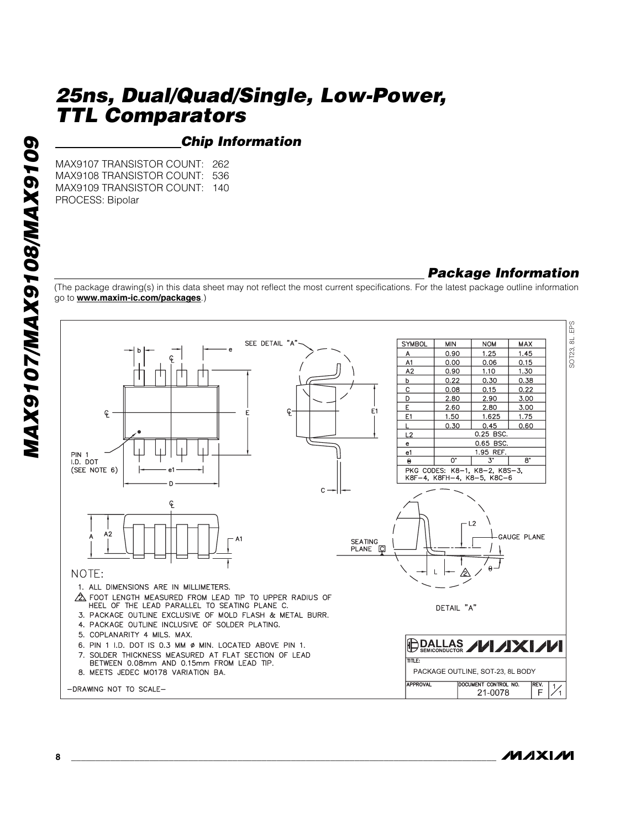#### *Chip Information*

MAX9107 TRANSISTOR COUNT: 262 MAX9108 TRANSISTOR COUNT: 536 MAX9109 TRANSISTOR COUNT: 140 PROCESS: Bipolar

#### *Package Information*

(The package drawing(s) in this data sheet may not reflect the most current specifications. For the latest package outline information go to **www.maxim-ic.com/packages**.)



**MAXM**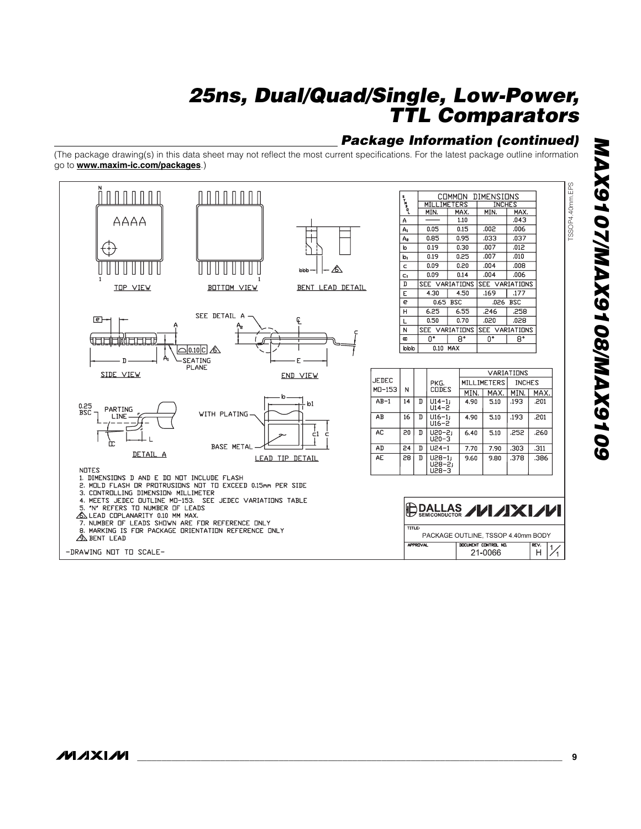### *Package Information (continued)*

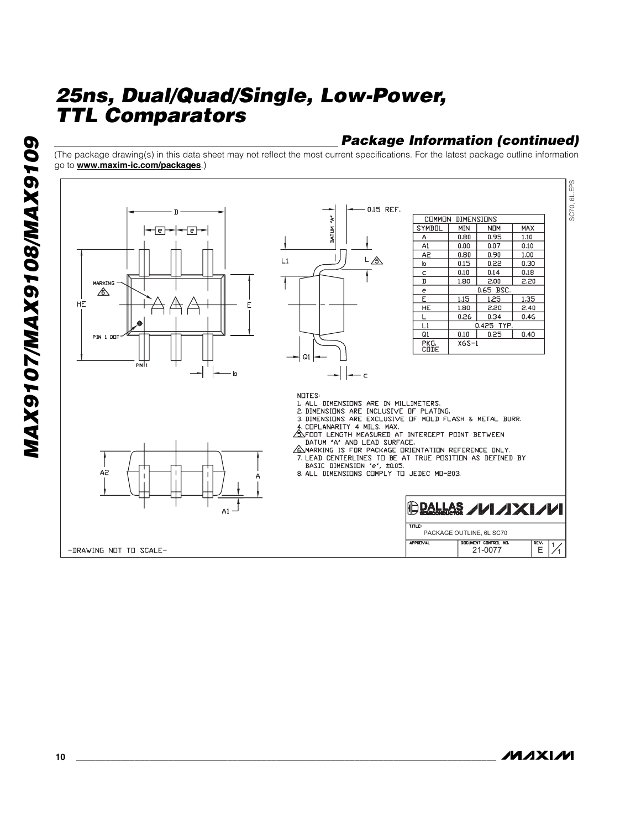### *Package Information (continued)*

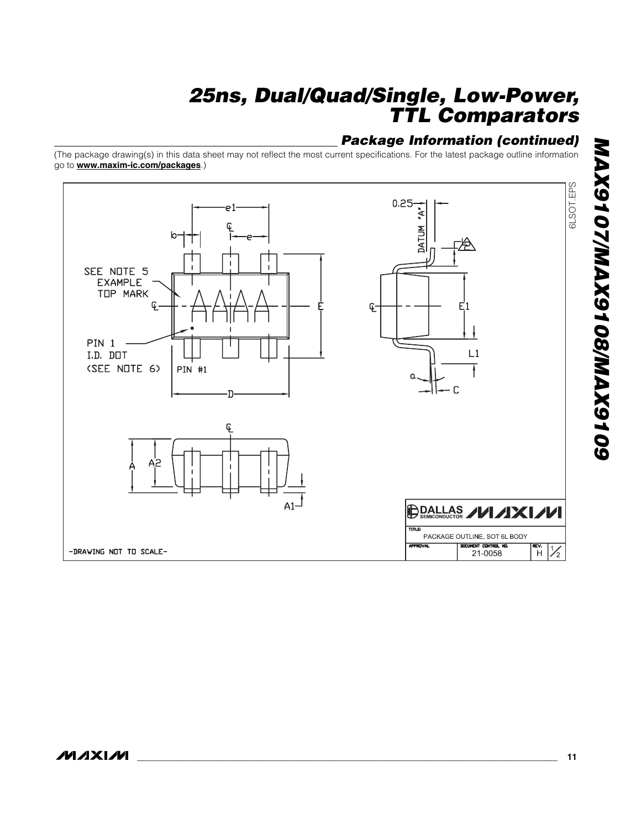### *Package Information (continued)*

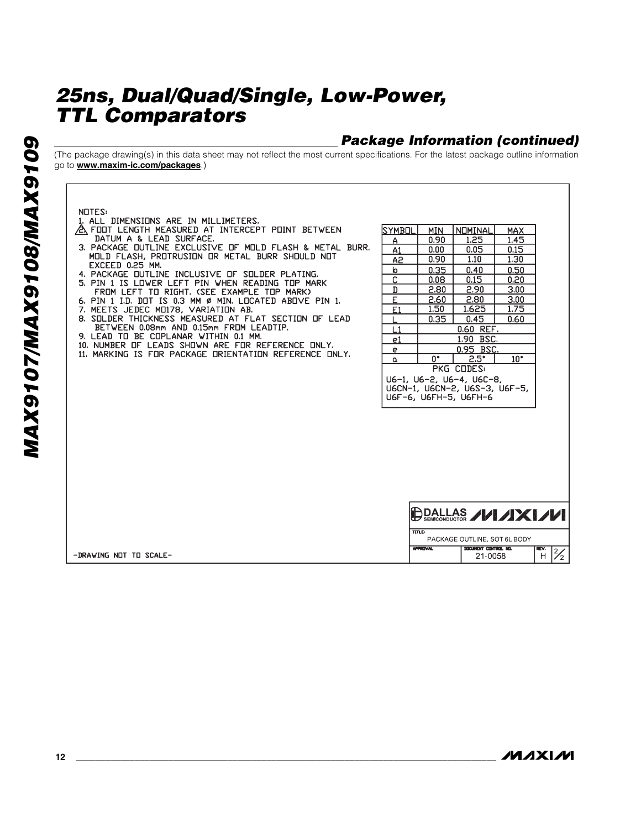### *Package Information (continued)*